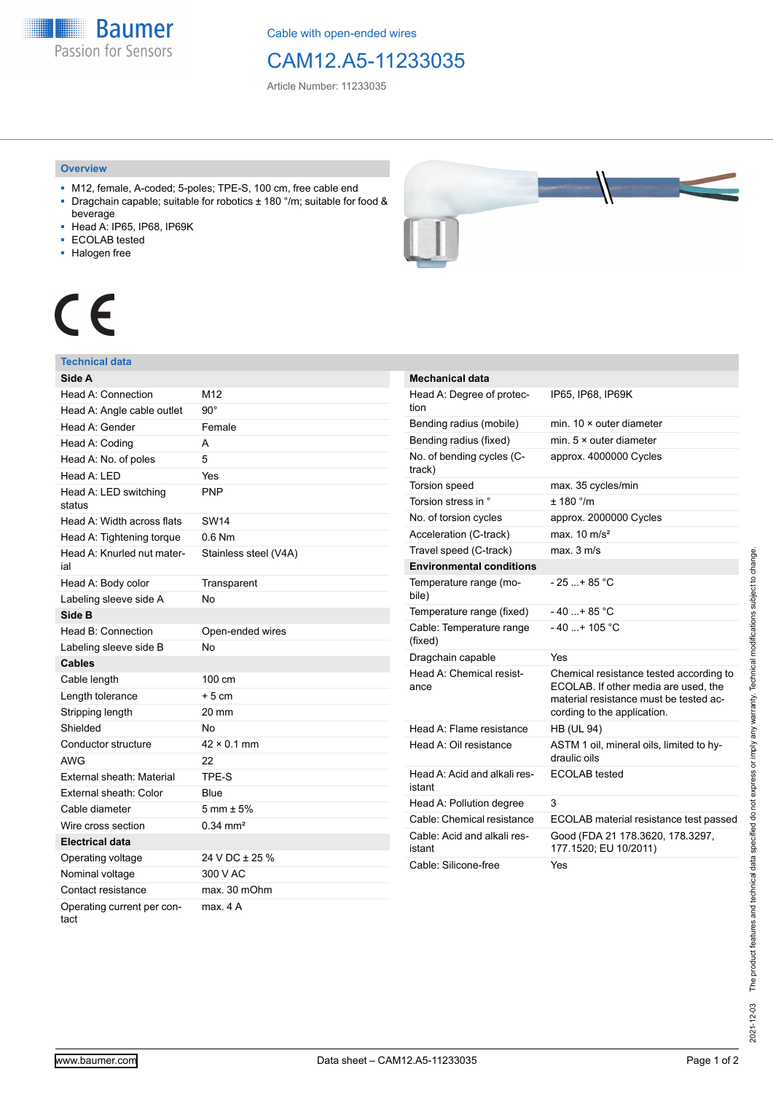**Baumer** Passion for Sensors

Cable with open-ended wires

## CAM12.A5-11233035

Article Number: 11233035

#### **Overview**

- M12, female, A-coded; 5-poles; TPE-S, 100 cm, free cable end ■ Dragchain capable; suitable for robotics ± 180 °/m; suitable for food &
- beverage
- Head A: IP65, IP68, IP69K
- ECOLAB tested
- Halogen free



# CE

#### **Technical data**

| Side A                             |                        |
|------------------------------------|------------------------|
| Head A: Connection                 | M12                    |
| Head A: Angle cable outlet         | $90^{\circ}$           |
| Head A: Gender                     | Female                 |
| Head A: Coding                     | A                      |
| Head A: No. of poles               | 5                      |
| Head A: LED                        | Yes                    |
| Head A: LED switching<br>status    | <b>PNP</b>             |
| Head A: Width across flats         | <b>SW14</b>            |
| Head A: Tightening torque          | $0.6$ Nm               |
| Head A: Knurled nut mater-<br>ial  | Stainless steel (V4A)  |
| Head A: Body color                 | Transparent            |
| Labeling sleeve side A             | <b>No</b>              |
| Side B                             |                        |
| Head B: Connection                 | Open-ended wires       |
| Labeling sleeve side B             | No                     |
| <b>Cables</b>                      |                        |
| Cable length                       | 100 cm                 |
| Length tolerance                   | $+5cm$                 |
| Stripping length                   | 20 mm                  |
| Shielded                           | No                     |
| Conductor structure                | $42 \times 0.1$ mm     |
| <b>AWG</b>                         | 22                     |
| External sheath: Material          | TPE-S                  |
| External sheath: Color             | Blue                   |
| Cable diameter                     | $5 \text{ mm} \pm 5\%$ |
| Wire cross section                 | $0.34 \, \text{mm}^2$  |
| <b>Electrical data</b>             |                        |
| Operating voltage                  | 24 V DC ± 25 %         |
| Nominal voltage                    | 300 V AC               |
| Contact resistance                 | max. 30 mOhm           |
| Operating current per con-<br>tact | max. 4 A               |

| <b>Mechanical data</b>                 |                                                                                                                                                          |
|----------------------------------------|----------------------------------------------------------------------------------------------------------------------------------------------------------|
| Head A: Degree of protec-<br>tion      | IP65, IP68, IP69K                                                                                                                                        |
| Bending radius (mobile)                | min. $10 \times$ outer diameter                                                                                                                          |
| Bending radius (fixed)                 | min. $5 \times$ outer diameter                                                                                                                           |
| No. of bending cycles (C-<br>track)    | approx. 4000000 Cycles                                                                                                                                   |
| Torsion speed                          | max. 35 cycles/min                                                                                                                                       |
| Torsion stress in °                    | ± 180 °/m                                                                                                                                                |
| No. of torsion cycles                  | approx. 2000000 Cycles                                                                                                                                   |
| Acceleration (C-track)                 | max. $10 \text{ m/s}^2$                                                                                                                                  |
| Travel speed (C-track)                 | max. 3 m/s                                                                                                                                               |
| <b>Environmental conditions</b>        |                                                                                                                                                          |
| Temperature range (mo-<br>bile)        | - 25 + 85 °C                                                                                                                                             |
| Temperature range (fixed)              | $-40+85 °C$                                                                                                                                              |
| Cable: Temperature range<br>(fixed)    | $-40+105$ °C                                                                                                                                             |
| Dragchain capable                      | Yes                                                                                                                                                      |
| Head A: Chemical resist-<br>ance       | Chemical resistance tested according to<br>ECOLAB. If other media are used, the<br>material resistance must be tested ac-<br>cording to the application. |
| Head A: Flame resistance               | <b>HB (UL 94)</b>                                                                                                                                        |
| Head A: Oil resistance                 | ASTM 1 oil, mineral oils, limited to hy-<br>draulic oils                                                                                                 |
| Head A: Acid and alkali res-<br>istant | <b>ECOLAB</b> tested                                                                                                                                     |
| Head A: Pollution degree               | 3                                                                                                                                                        |
| Cable: Chemical resistance             | ECOLAB material resistance test passed                                                                                                                   |
| Cable: Acid and alkali res-<br>istant  | Good (FDA 21 178.3620, 178.3297,<br>177.1520; EU 10/2011)                                                                                                |
| Cable: Silicone-free                   | Yes                                                                                                                                                      |
|                                        |                                                                                                                                                          |